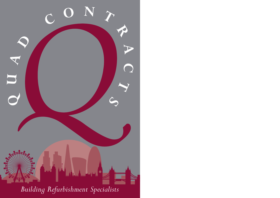

*Building Refurbishment Specialists*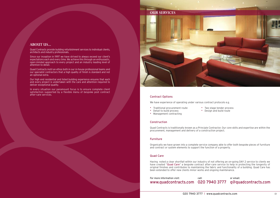# Contract Options

We have experience of operating under various contract protocols e.g.

- Traditional procurement route Two stage tender process
- Detail to build process Design and build route
- Management contracting

# **Construction**

Quad Contracts is traditionally known as a Principle Contractor. Our core skills and expertise are within the procurement, management and delivery of a construction project.

# Furniture

Organically we have grown into a complete service company able to offer both bespoke pieces of furniture and contract or system elements to support the function of a property.

### Quad Care

Having noted a clear shortfall within our industry of not offering an on-going DAY 2 service to clients we have created "Quad Care" a bespoke contract after-care service to help in protecting the longevity of original finishes and contributes to maintaining the fabric and functionality of a building. Quad Care has been extended to offer new clients minor works and ongoing maintenance.



| For more information visit: | call: |
|-----------------------------|-------|
| www.quadcontracts.com 02079 |       |

# 020 7940 3777 q@quadcontracts.com or email:

# **ABOUT US...**

Quad Contracts provide building refurbishment services to individual clients, architects and industry professionals.

Since our inception in 1997 we have strived to always exceed our client's expectations each and every time. We achieve this through an enthusiastic, open-minded approach to every project and an industry leading level of attention to detail.

Quad Contracts instil an ethos both in our in-house professional teams and our specialist contractors that a high quality of finish is standard and not an optional extra.

Our high end residential and listed building experience ensures that each and every project is undertaken with the care and attention required to deliver exceptional quality.

In every situation our paramount focus is to ensure complete client satisfaction supported by a flexible menu of bespoke post contract after-care services.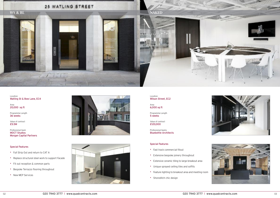Location Watling St & Bow Lane, EC4

Area 20,000 sq ft

Programme Length 36 weeks

Value of contract £5.5M

Professional team MOCT Studios Morgan Capital Partners

### Special Features

- Full Strip Out and return to CAT A
- Replace structural steel work to support Facade
- Fit out reception & common parts
- Bespoke Terrazzo flooring throughout
- New MEP Services





Location Wilson Street, EC2

Area 6,000 sq ft

Programme Length 5 weeks

Value of contract £120,000

Professional teams Bluebottle Architects



- Fast track commercial fitout
- Extensive bespoke joinery throughout
- Extensive ceramic tiling to large breakout area
- Unique sprayed ceiling tiles and soffits
- Feature lighting to breakout area and meeting room
- Shoreditch chic design



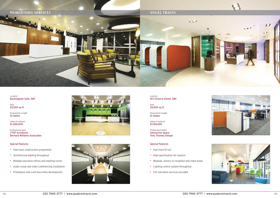Location Buckingham Gate, SW1

Area 25,000 sq ft

Programme Length 10 weeks

Value of contract £1,400,000

Professional team TTSP Architects Bernard Williams Associates

### Special Features

- Fast-track construction programme
- Architectural lighting throughout
- Multiple executive offices and meeting rooms
- Audio visual and video conferencing installation
- Prestigious new Land Securities development





# **WORLD FUEL SERVICES**

Location 123 Victoria Street, SW1

Area 20,000 sq ft

Programme Length 12 weeks

Value of contract £1,100,000

Professional teams Interactive Space Tony Thomas Design

### Special Features

- Fast track fit-out
- High specification AV solution
- Bespoke Joinery to reception and client areas
- Lighting control system throughout
- Full relocation services provided







# **ANGEL TRAINS**

 $\leftrightarrow$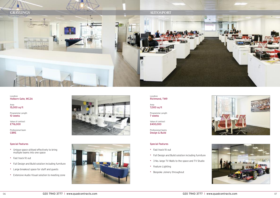Location Holborn Gate, WC2A

Area 15,000 sq ft

Programme Length 10 weeks

Value of contract £716,000

Professional team CBRE

### Special Features

- Unique space utilised effectively to bring multiple teams into one space
- Fast track fit out
- Full Design and Build solution including furniture
- Large breakout space for staff and guests
- Extensive Audio Visual solution to meeting zone





Location Richmond, TW9

Area 7,000 sq ft

Programme Length 7 weeks

Value of contract £400,000

Professional teams Design & Build



- Fast track fit out
- Full Design and Build solution including furniture
- 3 No. large TV Walls to the space and TV Studio
- Feature Lighting
- Bespoke Joinery throughout



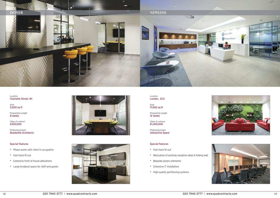Location Charlotte Street, W1

Area 5,000 sq ft

Programme Length 8 weeks

Value of contract £200,000

Professional team Bluebottle Architects

### Special Features

- Phase works with client in occupation
- Fast track fit out
- Extensive front of house alterations
- Large breakout space for staff and guests





Location London, EC2

Area 17,500 sq ft

Programme Length 12 weeks

Value of contract £1,300,000

Professional team Interactive Space



- Fast track fit out
- Relocation of existing reception desk & folding wall
- Bespoke joinery elements
- Extensive IT installation
- High quality partitioning systems



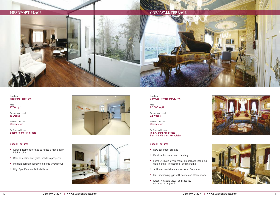Location Headfort Place, SW1

Area 1,700 sq ft

Programme Length 16 weeks

Value of contract Undisclosed

Professional team EngineRoom Architects

### Special Features

- Large basement formed to house a high quality kitchen diner
- Rear extension and glass facade to property
- Multiple bespoke joinery elements throughout
- High Specification AV installation





Location Cornwall Terrace Mews, NW1

Area 20,000 sq ft

Programme Length 32 Weeks

Value of contract Undisclosed

Professional teams Tom Gianini Architects Bernard Williams Associates



- New Basement created
- Fabric upholstered wall cladding
- Extensive high level decoration package including gold leafing, Trompe-l'oeil and marbling
- Antique chandeliers and restored fireplaces
- Full functioning gym with sauna and steam room
- Extensive audio visual and security systems throughout



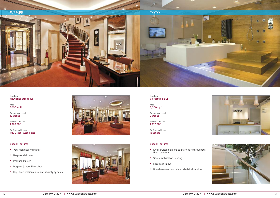Location New Bond Street, W1

Area 3000 sq ft

Programme Length 10 weeks

Value of contract £320,000

Professional teams Ray Draper Associates

### Special Features

- Very high quality finishes
- Bespoke staircase
- Polished Plaster
- Bespoke joinery throughout
- High specification alarm and security systems





Location Clerkenwell, EC1

Area 3,000 sq ft

Programme Length 7 weeks

Value of contract £352,000

Professional team Takenaka



- Live serviced high end sanitary ware throughout the showroom
- Specialist bamboo flooring
- Fast-track fit out
- Brand new mechanical and electrical services



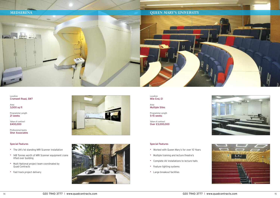Location Cromwell Road, SW7

Area 3,000 sq ft

Programme Length 21 weeks

Value of contract £400,000

Professional teams Shor Associates

### Special Features

Location Mile End, E1

- The UK's 1st standing MRI Scanner installation
- 148 Tonnes worth of MRI Scanner equipment crane lifted over building
- Multi National project team coordinated by Quad Contracts
- Fast track project delivery









Area Multiple Sites

Programme Length 5-15 weeks

Value of contract Over £3,000,000

- Worked with Queen Mary's for over 10 Years
- Multiple training and lecture theatre's
- Complete AV installations to lecture halls
- Feature lighting systems
- Large breakout facilities





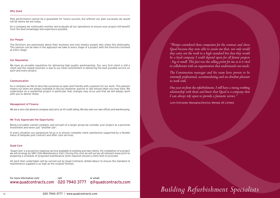### Why Quad

Past performance cannot be a guarantee for future success, but without our past successes we would not be where we are today.

As a company we continually monitor and evaluate all our operations to ensure your project will benefit from the best knowledge and experience possible.

### Our People

The Directors are passionate about their business and only employ people who share this philosophy. This passion can be seen in the approach we take to every stage of <sup>a</sup> project with the Directors involved at every stage.

### Our Reputation

We have an enviable reputation for delivering high quality workmanship. Our very first client is still a client and this repeat business is due to our total commitment in delivering the best possible service on each and every project.

### Communication

As a company we like to describe ourselves as open and friendly with a passion for our work. This passion means our team are always available to discuss whatever queries or last minute ideas you may have. We understand on a residential project in particular that changes may occur and that we will always work with you to deliver these.

### Management of Finance

We are a very risk adverse company and carry an A1 credit rating. We also own our own offices and warehousing.

### We Truly Appreciate the Opportunity

Being a privately owned company, and not part of a larger group we consider your project as a personal investment and never just "another job".

*One* year on from the refurbishment, I still have a strong working *relationship with them and know that Quad is a company that I can always rely upon to provide a fantastic service."*

In every situation our paramount focus is to ensure complete client satisfaction supported by a flexible menu of bespoke post contract and after-care services.

### Quad Care

'Quad Care' is a proactive response service available to existing and new clients. On completion of a project we will arrange an SMV (Site Maintenance Visit.) During this visit we will survey all relevant areas prior to preparing a schedule of proposed maintenance work required should a client wish to proceed.

All work then undertaken will be carried out by Quad Contracts skilled labour to ensure the standard of maintenance supplied is as high as the original finishes.

call:

020 7940 3777 www.quadcontracts.com For more information visit:

or email: q@quadcontracts.com

# *Building Refurbishment Specialists*

*"Wempe considered three companies for the contract and chose Quad because they were able to assure me that, not only would they carry out the work to a high standard but that they would* - big or small. This fact was the selling point for me as it is vital *to collaborate with an organisation that understands our needs.*

*The Construction manager and his team have proven to be extremely professional, accommodating and an absolute pleasure to work with.*

Lynn Schroeder, Managing Director, Wempe UK Limited.